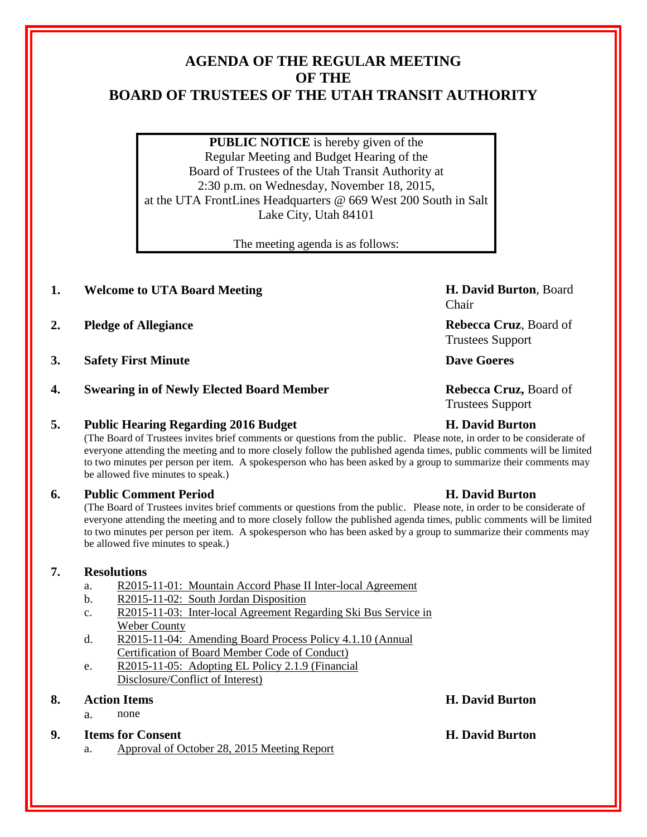# **AGENDA OF THE REGULAR MEETING OF THE BOARD OF TRUSTEES OF THE UTAH TRANSIT AUTHORITY**

**PUBLIC NOTICE** is hereby given of the Regular Meeting and Budget Hearing of the Board of Trustees of the Utah Transit Authority at 2:30 p.m. on Wednesday, November 18, 2015, at the UTA FrontLines Headquarters @ 669 West 200 South in Salt Lake City, Utah 84101

The meeting agenda is as follows:

# **1. Welcome to UTA Board Meeting H. David Burton**, Board

- **2. Pledge of Allegiance Rebecca Cruz**, Board of
- **3. Safety First Minute Dave Goeres**
- **4. Swearing in of Newly Elected Board Member Rebecca Cruz,** Board of

### **5. Public Hearing Regarding 2016 Budget H. David Burton**

(The Board of Trustees invites brief comments or questions from the public. Please note, in order to be considerate of everyone attending the meeting and to more closely follow the published agenda times, public comments will be limited to two minutes per person per item. A spokesperson who has been asked by a group to summarize their comments may be allowed five minutes to speak.)

# **6. Public Comment Period H. David Burton**

(The Board of Trustees invites brief comments or questions from the public. Please note, in order to be considerate of everyone attending the meeting and to more closely follow the published agenda times, public comments will be limited to two minutes per person per item. A spokesperson who has been asked by a group to summarize their comments may be allowed five minutes to speak.)

# **7. Resolutions**

- a. R2015-11-01: Mountain Accord Phase II Inter-local Agreement
- b. R2015-11-02: South Jordan Disposition
- c. R2015-11-03: Inter-local Agreement Regarding Ski Bus Service in Weber County
- d. R2015-11-04: Amending Board Process Policy 4.1.10 (Annual Certification of Board Member Code of Conduct)
- e. R2015-11-05: Adopting EL Policy 2.1.9 (Financial Disclosure/Conflict of Interest)

# **8. Action Items H. David Burton**

a. none

### **9. Items for Consent H. David Burton**

a. Approval of October 28, 2015 Meeting Report

Chair

Trustees Support

Trustees Support